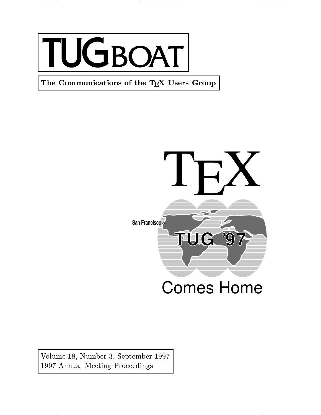

The Communications of the TEX Users Group



Volume 18, Number 3, September 1997 1997 Annual Meeting Proceedings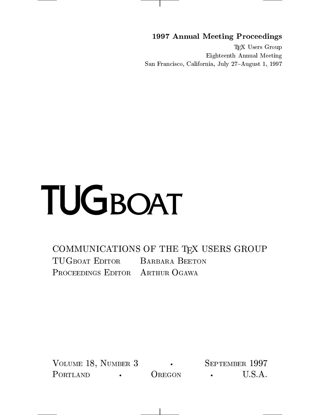1997 Annual Meeting Proceedings

T<sub>E</sub>X Users Group Eighteenth Annual Meeting San Francisco, California, July 27-August 1, 1997

# TUGBOAT

COMMUNICATIONS OF THE TEX USERS GROUP TUGBOAT EDITOR BARBARA BEETON PROCEEDINGS EDITOR ARTHUR OGAWA

VOLUME 18, NUMBER 3 SEPTEMBER 1997 PORTLAND • OREGON • U.S.A.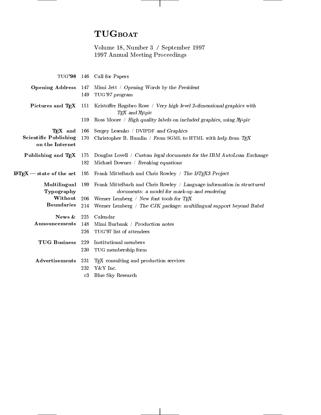# TUGBOAT

Volume 18, Number 3 / September 1997 1997 Annual Meeting Proceedings

|                                                 |     | TUG'98 146 Call for Papers                                                                                                              |
|-------------------------------------------------|-----|-----------------------------------------------------------------------------------------------------------------------------------------|
| <b>Opening Address</b> 147                      | 149 | Mimi Jett / Opening Words by the President<br>TUG'97 program                                                                            |
|                                                 |     | Pictures and TEX 151 Kristoffer Høgsbro Rose / Very high level 2-dimensional graphics with<br>TEX and XY-pic                            |
|                                                 | 159 | Ross Moore / High quality labels on included graphics, using Xy-pic                                                                     |
| TFX and                                         | 166 | Sergey Lesenko / DVIPDF and Graphics                                                                                                    |
| <b>Scientific Publishing</b><br>on the Internet |     | 170 Christopher B. Hamlin / From SGML to HTML with help from TEX                                                                        |
|                                                 |     | <b>Publishing and TEX</b> 175 Douglas Lovell / Custom legal documents for the IBM AutoLoan Exchange                                     |
|                                                 | 182 | Michael Downes / Breaking equations                                                                                                     |
|                                                 |     | <b>IATEX</b> — state of the art 195 Frank Mittelbach and Chris Rowley / The IATEX3 Project                                              |
| Typography                                      |     | Multilingual 199 Frank Mittelbach and Chris Rowley / Language information in structured<br>documents: a model for mark-up and rendering |
| Without                                         |     | 206 Werner Lemberg / New font tools for TEX                                                                                             |
| <b>Boundaries</b>                               | 214 | Werner Lemberg / The CJK package: multilingual support beyond Babel                                                                     |
|                                                 |     | News & 225 Calendar                                                                                                                     |
| Announcements                                   | 148 | Mimi Burbank / Production notes                                                                                                         |
|                                                 | 226 | TUG'97 list of attendees                                                                                                                |
| TUG Business 229                                |     | Institutional members                                                                                                                   |
|                                                 | 230 | TUG membership form                                                                                                                     |
| Advertisements                                  | 231 | T <sub>F</sub> X consulting and production services                                                                                     |
|                                                 | 232 | Y&Y Inc.                                                                                                                                |
|                                                 | c3  | Blue Sky Research                                                                                                                       |